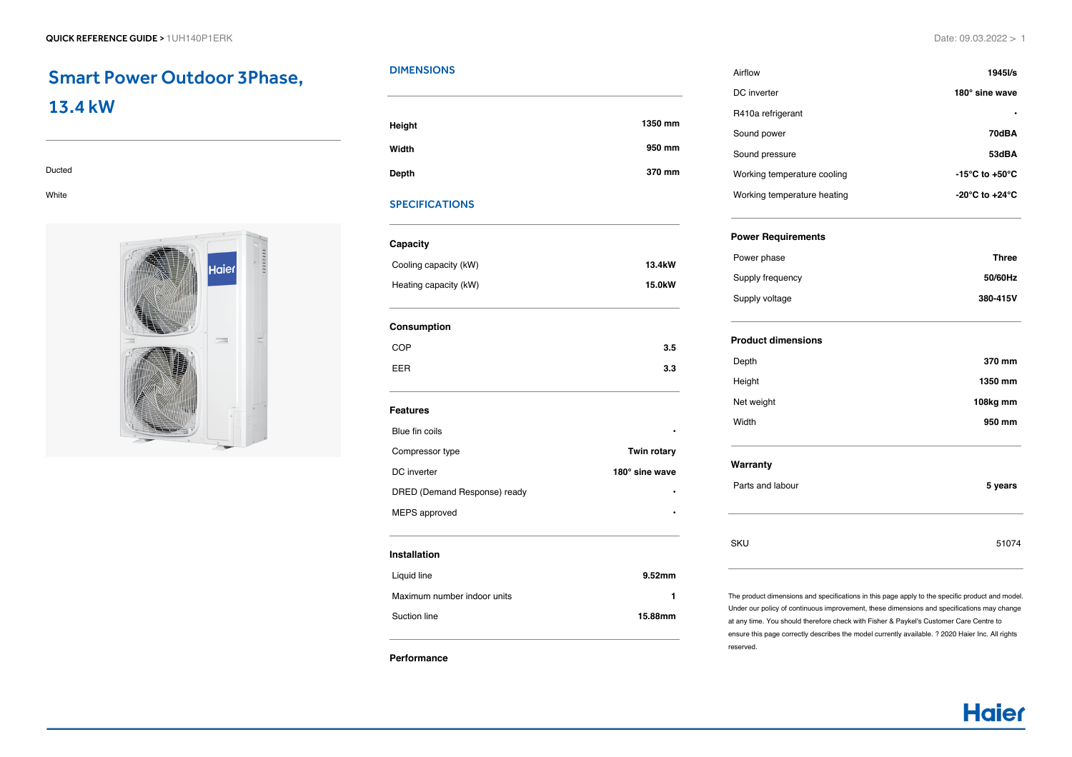# Smart Power Outdoor 3Phase, 13.4 kW

Ducted

White



# **DIMENSIONS**

| Height | 1350 mm |
|--------|---------|
| Width  | 950 mm  |
| Depth  | 370 mm  |

## SPECIFICATIONS

| Capacity              |                     |
|-----------------------|---------------------|
| Cooling capacity (kW) | 13.4 <sub>k</sub> W |
| Heating capacity (kW) | 15.0 <sub>k</sub> W |
|                       |                     |

#### **Consumption**

| COP |  | 3.5 |
|-----|--|-----|
| EER |  | 3.3 |

### **Features**

| Blue fin coils               | ٠                  |
|------------------------------|--------------------|
| Compressor type              | <b>Twin rotary</b> |
| DC inverter                  | 180° sine wave     |
| DRED (Demand Response) ready | ٠                  |
| <b>MEPS</b> approved         | ٠                  |
|                              |                    |

# **Installation** Liquid line **9.52mm** Maximum number indoor units **1** Suction line **15.88mm**

**Performance**

| $1945$ <sub>s</sub>                  | Airflow                     |
|--------------------------------------|-----------------------------|
| 180° sine wave                       | DC inverter                 |
| ٠                                    | R410a refrigerant           |
| 70dBA                                | Sound power                 |
| 53dBA                                | Sound pressure              |
| -15 $^{\circ}$ C to +50 $^{\circ}$ C | Working temperature cooling |
| -20 $^{\circ}$ C to +24 $^{\circ}$ C | Working temperature heating |

#### **Power Requirements**

| Power phase      | Three    |
|------------------|----------|
| Supply frequency | 50/60Hz  |
| Supply voltage   | 380-415V |

#### **Product dimensions**

| Depth      | 370 mm   |
|------------|----------|
| Height     | 1350 mm  |
| Net weight | 108kg mm |
| Width      | 950 mm   |

| Warranty         |         |  |
|------------------|---------|--|
| Parts and labour | 5 years |  |
| <b>SKU</b>       | 51074   |  |

The product dimensions and specifications in this page apply to the specific product and model. Under our policy of continuous improvement, these dimensions and specifications may change at any time. You should therefore check with Fisher & Paykel's Customer Care Centre to ensure this page correctly describes the model currently available. ? 2020 Haier Inc. All rights reserved.